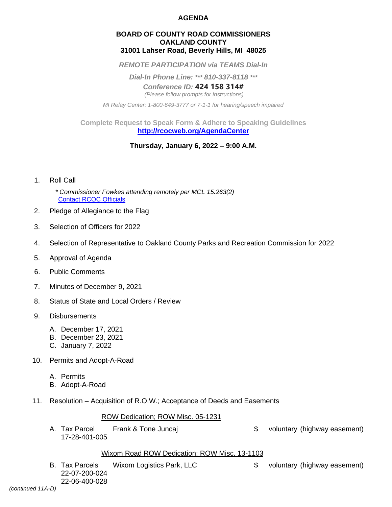## **AGENDA**

### **BOARD OF COUNTY ROAD COMMISSIONERS OAKLAND COUNTY 31001 Lahser Road, Beverly Hills, MI 48025**

*REMOTE PARTICIPATION via TEAMS Dial-In*

*Dial-In Phone Line: \*\*\* 810-337-8118 \*\*\**

*Conference ID:* **424 158 314#** *(Please follow prompts for instructions)*

*MI Relay Center: 1-800-649-3777 or 7-1-1 for hearing/speech impaired*

**Complete Request to Speak Form & Adhere to Speaking Guidelines <http://rcocweb.org/AgendaCenter>**

**Thursday, January 6, 2022 – 9:00 A.M.**

- 1. Roll Call
	- *\* Commissioner Fowkes attending remotely per MCL 15.263(2)* [Contact RCOC Officials](http://www.rcocweb.org/275/RCOC-Officials)
- 2. Pledge of Allegiance to the Flag
- 3. Selection of Officers for 2022
- 4. Selection of Representative to Oakland County Parks and Recreation Commission for 2022
- 5. Approval of Agenda
- 6. Public Comments
- 7. Minutes of December 9, 2021
- 8. Status of State and Local Orders / Review
- 9. Disbursements
	- A. December 17, 2021
	- B. December 23, 2021
	- C. January 7, 2022
- 10. Permits and Adopt-A-Road
	- A. Permits
	- B. Adopt-A-Road
- 11. Resolution Acquisition of R.O.W.; Acceptance of Deeds and Easements

#### ROW Dedication; ROW Misc. 05-1231

A. Tax Parcel Frank & Tone Juncaj but and the state of the voluntary (highway easement) 17-28-401-005

#### Wixom Road ROW Dedication; ROW Misc. 13-1103

B. Tax Parcels Wixom Logistics Park, LLC  $\qquad \qquad \text{$}$  voluntary (highway easement) 22-07-200-024 22-06-400-028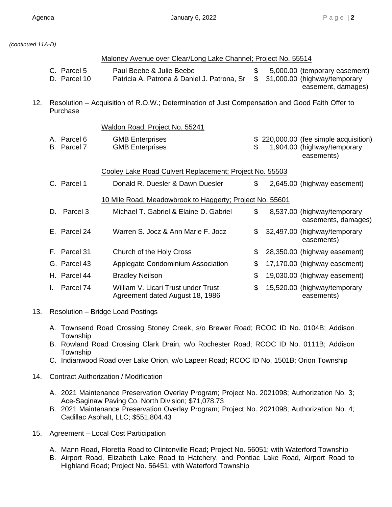easements)

*(continued 11A-D)*

|     |                                                                                                            | Maloney Avenue over Clear/Long Lake Channel; Project No. 55514          |          |  |                                                                                     |
|-----|------------------------------------------------------------------------------------------------------------|-------------------------------------------------------------------------|----------|--|-------------------------------------------------------------------------------------|
|     | C. Parcel 5<br>D. Parcel 10                                                                                | Paul Beebe & Julie Beebe<br>Patricia A. Patrona & Daniel J. Patrona, Sr | \$<br>\$ |  | 5,000.00 (temporary easement)<br>31,000.00 (highway/temporary<br>easement, damages) |
| 12. | Resolution – Acquisition of R.O.W.; Determination of Just Compensation and Good Faith Offer to<br>Purchase |                                                                         |          |  |                                                                                     |
|     |                                                                                                            | Waldon Road; Project No. 55241                                          |          |  |                                                                                     |
|     | A. Parcel 6<br>B. Parcel 7                                                                                 | <b>GMB Enterprises</b><br><b>GMB Enterprises</b>                        | \$       |  | \$220,000.00 (fee simple acquisition)<br>1,904.00 (highway/temporary<br>easements)  |
|     | Cooley Lake Road Culvert Replacement; Project No. 55503                                                    |                                                                         |          |  |                                                                                     |
|     | C. Parcel 1                                                                                                | Donald R. Duesler & Dawn Duesler                                        | \$       |  | 2,645.00 (highway easement)                                                         |
|     | 10 Mile Road, Meadowbrook to Haggerty; Project No. 55601                                                   |                                                                         |          |  |                                                                                     |
|     | Parcel 3<br>D.                                                                                             | Michael T. Gabriel & Elaine D. Gabriel                                  | \$       |  | 8,537.00 (highway/temporary<br>easements, damages)                                  |
|     | E. Parcel 24                                                                                               | Warren S. Jocz & Ann Marie F. Jocz                                      | \$       |  | 32,497.00 (highway/temporary                                                        |

F. Parcel 31 Church of the Holy Cross  $\frac{1}{2}$  28,350.00 (highway easement) G. Parcel 43 Applegate Condominium Association  $\frac{1}{2}$  17,170.00 (highway easement) H. Parcel 44 Bradley Neilson \$ 19,030.00 (highway easement) I. Parcel 74 William V. Licari Trust under Trust  $$ 15,520.00$  (highway/temporary

- Agreement dated August 18, 1986 easements) 13. Resolution – Bridge Load Postings
	- A. Townsend Road Crossing Stoney Creek, s/o Brewer Road; RCOC ID No. 0104B; Addison Township
	- B. Rowland Road Crossing Clark Drain, w/o Rochester Road; RCOC ID No. 0111B; Addison **Township**
	- C. Indianwood Road over Lake Orion, w/o Lapeer Road; RCOC ID No. 1501B; Orion Township
- 14. Contract Authorization / Modification
	- A. 2021 Maintenance Preservation Overlay Program; Project No. 2021098; Authorization No. 3; Ace-Saginaw Paving Co. North Division; \$71,078.73
	- B. 2021 Maintenance Preservation Overlay Program; Project No. 2021098; Authorization No. 4; Cadillac Asphalt, LLC; \$551,804.43
- 15. Agreement Local Cost Participation
	- A. Mann Road, Floretta Road to Clintonville Road; Project No. 56051; with Waterford Township
	- B. Airport Road, Elizabeth Lake Road to Hatchery, and Pontiac Lake Road, Airport Road to Highland Road; Project No. 56451; with Waterford Township